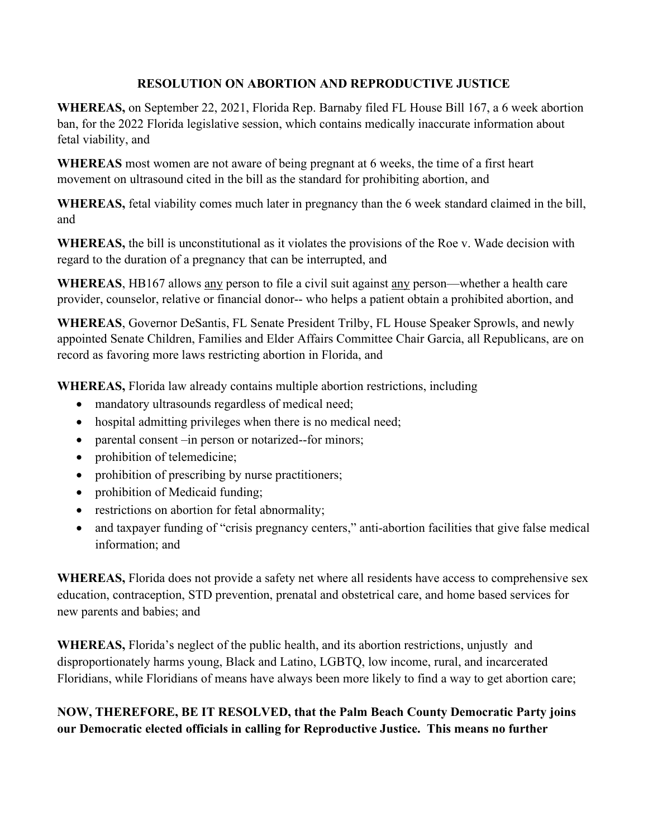## **RESOLUTION ON ABORTION AND REPRODUCTIVE JUSTICE**

**WHEREAS,** on September 22, 2021, Florida Rep. Barnaby filed FL House Bill 167, a 6 week abortion ban, for the 2022 Florida legislative session, which contains medically inaccurate information about fetal viability, and

**WHEREAS** most women are not aware of being pregnant at 6 weeks, the time of a first heart movement on ultrasound cited in the bill as the standard for prohibiting abortion, and

**WHEREAS,** fetal viability comes much later in pregnancy than the 6 week standard claimed in the bill, and

**WHEREAS,** the bill is unconstitutional as it violates the provisions of the Roe v. Wade decision with regard to the duration of a pregnancy that can be interrupted, and

**WHEREAS**, HB167 allows any person to file a civil suit against any person—whether a health care provider, counselor, relative or financial donor-- who helps a patient obtain a prohibited abortion, and

**WHEREAS**, Governor DeSantis, FL Senate President Trilby, FL House Speaker Sprowls, and newly appointed Senate Children, Families and Elder Affairs Committee Chair Garcia, all Republicans, are on record as favoring more laws restricting abortion in Florida, and

**WHEREAS,** Florida law already contains multiple abortion restrictions, including

- mandatory ultrasounds regardless of medical need;
- hospital admitting privileges when there is no medical need;
- parental consent –in person or notarized--for minors;
- prohibition of telemedicine;
- prohibition of prescribing by nurse practitioners;
- prohibition of Medicaid funding;
- restrictions on abortion for fetal abnormality;
- and taxpayer funding of "crisis pregnancy centers," anti-abortion facilities that give false medical information; and

**WHEREAS,** Florida does not provide a safety net where all residents have access to comprehensive sex education, contraception, STD prevention, prenatal and obstetrical care, and home based services for new parents and babies; and

**WHEREAS,** Florida's neglect of the public health, and its abortion restrictions, unjustly and disproportionately harms young, Black and Latino, LGBTQ, low income, rural, and incarcerated Floridians, while Floridians of means have always been more likely to find a way to get abortion care;

## **NOW, THEREFORE, BE IT RESOLVED, that the Palm Beach County Democratic Party joins our Democratic elected officials in calling for Reproductive Justice. This means no further**